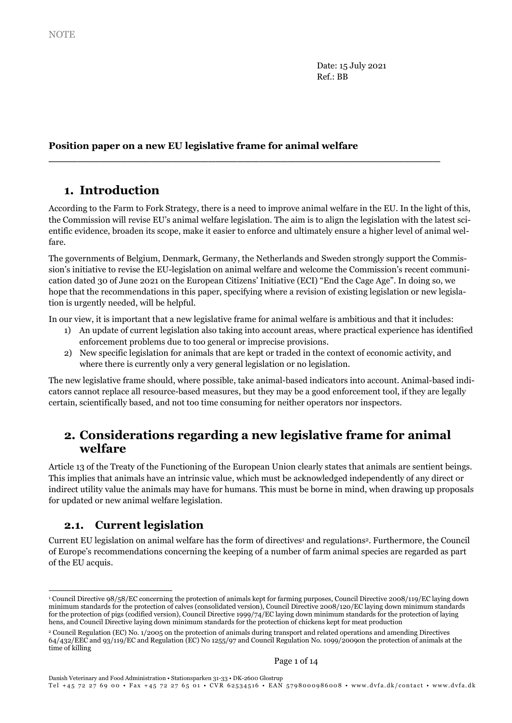Date: 15 July 2021 Ref.: BB

## Position paper on a new EU legislative frame for animal welfare

# 1. Introduction

According to the Farm to Fork Strategy, there is a need to improve animal welfare in the EU. In the light of this, the Commission will revise EU's animal welfare legislation. The aim is to align the legislation with the latest scientific evidence, broaden its scope, make it easier to enforce and ultimately ensure a higher level of animal welfare.

\_\_\_\_\_\_\_\_\_\_\_\_\_\_\_\_\_\_\_\_\_\_\_\_\_\_\_\_\_\_\_\_\_\_\_\_\_\_\_\_\_\_\_\_\_\_\_\_\_\_\_\_\_\_

The governments of Belgium, Denmark, Germany, the Netherlands and Sweden strongly support the Commission's initiative to revise the EU-legislation on animal welfare and welcome the Commission's recent communication dated 30 of June 2021 on the European Citizens' Initiative (ECI) "End the Cage Age". In doing so, we hope that the recommendations in this paper, specifying where a revision of existing legislation or new legislation is urgently needed, will be helpful.

In our view, it is important that a new legislative frame for animal welfare is ambitious and that it includes:

- 1) An update of current legislation also taking into account areas, where practical experience has identified enforcement problems due to too general or imprecise provisions.
- 2) New specific legislation for animals that are kept or traded in the context of economic activity, and where there is currently only a very general legislation or no legislation.

The new legislative frame should, where possible, take animal-based indicators into account. Animal-based indicators cannot replace all resource-based measures, but they may be a good enforcement tool, if they are legally certain, scientifically based, and not too time consuming for neither operators nor inspectors.

# 2. Considerations regarding a new legislative frame for animal welfare

Article 13 of the Treaty of the Functioning of the European Union clearly states that animals are sentient beings. This implies that animals have an intrinsic value, which must be acknowledged independently of any direct or indirect utility value the animals may have for humans. This must be borne in mind, when drawing up proposals for updated or new animal welfare legislation.

## 2.1. Current legislation

-

Current EU legislation on animal welfare has the form of directives<sup>1</sup> and regulations<sup>2</sup>. Furthermore, the Council of Europe's recommendations concerning the keeping of a number of farm animal species are regarded as part of the EU acquis.

<sup>1</sup> Council Directive 98/58/EC concerning the protection of animals kept for farming purposes, Council Directive 2008/119/EC laying down minimum standards for the protection of calves (consolidated version), Council Directive 2008/120/EC laying down minimum standards for the protection of pigs (codified version), Council Directive 1999/74/EC laying down minimum standards for the protection of laying hens, and Council Directive laying down minimum standards for the protection of chickens kept for meat production

<sup>2</sup> Council Regulation (EC) No. 1/2005 on the protection of animals during transport and related operations and amending Directives 64/432/EEC and 93/119/EC and Regulation (EC) No 1255/97 and Council Regulation No. 1099/2009on the protection of animals at the time of killing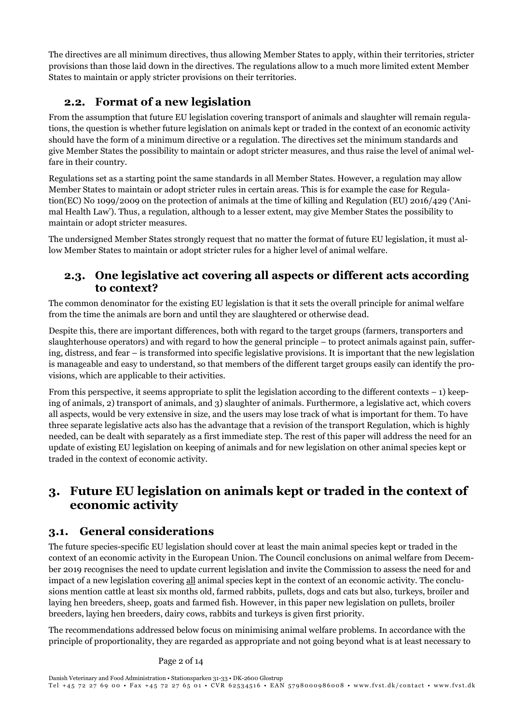The directives are all minimum directives, thus allowing Member States to apply, within their territories, stricter provisions than those laid down in the directives. The regulations allow to a much more limited extent Member States to maintain or apply stricter provisions on their territories.

# 2.2. Format of a new legislation

From the assumption that future EU legislation covering transport of animals and slaughter will remain regulations, the question is whether future legislation on animals kept or traded in the context of an economic activity should have the form of a minimum directive or a regulation. The directives set the minimum standards and give Member States the possibility to maintain or adopt stricter measures, and thus raise the level of animal welfare in their country.

Regulations set as a starting point the same standards in all Member States. However, a regulation may allow Member States to maintain or adopt stricter rules in certain areas. This is for example the case for Regulation(EC) No 1099/2009 on the protection of animals at the time of killing and Regulation (EU) 2016/429 ('Animal Health Law'). Thus, a regulation, although to a lesser extent, may give Member States the possibility to maintain or adopt stricter measures.

The undersigned Member States strongly request that no matter the format of future EU legislation, it must allow Member States to maintain or adopt stricter rules for a higher level of animal welfare.

## 2.3. One legislative act covering all aspects or different acts according to context?

The common denominator for the existing EU legislation is that it sets the overall principle for animal welfare from the time the animals are born and until they are slaughtered or otherwise dead.

Despite this, there are important differences, both with regard to the target groups (farmers, transporters and slaughterhouse operators) and with regard to how the general principle – to protect animals against pain, suffering, distress, and fear – is transformed into specific legislative provisions. It is important that the new legislation is manageable and easy to understand, so that members of the different target groups easily can identify the provisions, which are applicable to their activities.

From this perspective, it seems appropriate to split the legislation according to the different contexts  $-1$ ) keeping of animals, 2) transport of animals, and 3) slaughter of animals. Furthermore, a legislative act, which covers all aspects, would be very extensive in size, and the users may lose track of what is important for them. To have three separate legislative acts also has the advantage that a revision of the transport Regulation, which is highly needed, can be dealt with separately as a first immediate step. The rest of this paper will address the need for an update of existing EU legislation on keeping of animals and for new legislation on other animal species kept or traded in the context of economic activity.

# 3. Future EU legislation on animals kept or traded in the context of economic activity

## 3.1. General considerations

The future species-specific EU legislation should cover at least the main animal species kept or traded in the context of an economic activity in the European Union. The Council conclusions on animal welfare from December 2019 recognises the need to update current legislation and invite the Commission to assess the need for and impact of a new legislation covering all animal species kept in the context of an economic activity. The conclusions mention cattle at least six months old, farmed rabbits, pullets, dogs and cats but also, turkeys, broiler and laying hen breeders, sheep, goats and farmed fish. However, in this paper new legislation on pullets, broiler breeders, laying hen breeders, dairy cows, rabbits and turkeys is given first priority.

The recommendations addressed below focus on minimising animal welfare problems. In accordance with the principle of proportionality, they are regarded as appropriate and not going beyond what is at least necessary to

Page 2 of 14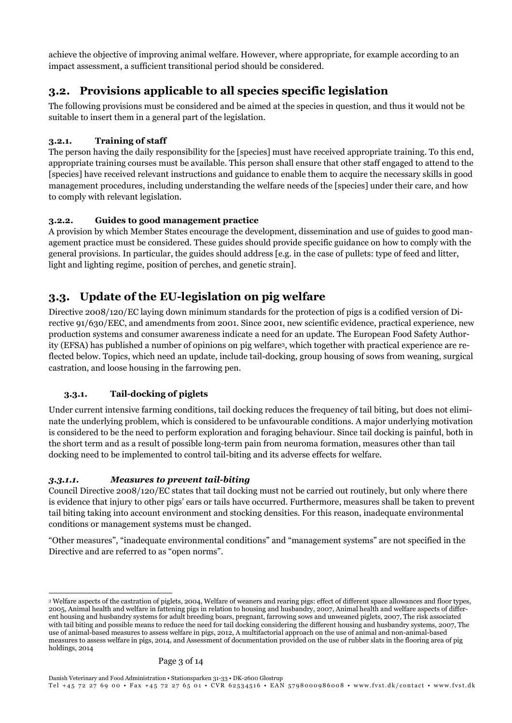achieve the objective of improving animal welfare. However, where appropriate, for example according to an impact assessment, a sufficient transitional period should be considered.

# 3.2. Provisions applicable to all species specific legislation

The following provisions must be considered and be aimed at the species in question, and thus it would not be suitable to insert them in a general part of the legislation.

## 3.2.1. Training of staff

The person having the daily responsibility for the [species] must have received appropriate training. To this end, appropriate training courses must be available. This person shall ensure that other staff engaged to attend to the [species] have received relevant instructions and guidance to enable them to acquire the necessary skills in good management procedures, including understanding the welfare needs of the [species] under their care, and how to comply with relevant legislation.

### 3.2.2. Guides to good management practice

A provision by which Member States encourage the development, dissemination and use of guides to good management practice must be considered. These guides should provide specific guidance on how to comply with the general provisions. In particular, the guides should address [e.g. in the case of pullets: type of feed and litter, light and lighting regime, position of perches, and genetic strain].

# 3.3. Update of the EU-legislation on pig welfare

Directive 2008/120/EC laying down minimum standards for the protection of pigs is a codified version of Directive 91/630/EEC, and amendments from 2001. Since 2001, new scientific evidence, practical experience, new production systems and consumer awareness indicate a need for an update. The European Food Safety Authority (EFSA) has published a number of opinions on pig welfare3, which together with practical experience are reflected below. Topics, which need an update, include tail-docking, group housing of sows from weaning, surgical castration, and loose housing in the farrowing pen.

## 3.3.1. Tail-docking of piglets

Under current intensive farming conditions, tail docking reduces the frequency of tail biting, but does not eliminate the underlying problem, which is considered to be unfavourable conditions. A major underlying motivation is considered to be the need to perform exploration and foraging behaviour. Since tail docking is painful, both in the short term and as a result of possible long-term pain from neuroma formation, measures other than tail docking need to be implemented to control tail-biting and its adverse effects for welfare.

### 3.3.1.1. Measures to prevent tail-biting

Council Directive 2008/120/EC states that tail docking must not be carried out routinely, but only where there is evidence that injury to other pigs' ears or tails have occurred. Furthermore, measures shall be taken to prevent tail biting taking into account environment and stocking densities. For this reason, inadequate environmental conditions or management systems must be changed.

"Other measures", "inadequate environmental conditions" and "management systems" are not specified in the Directive and are referred to as "open norms".

<sup>-</sup><sup>3</sup> Welfare aspects of the castration of piglets, 2004, Welfare of weaners and rearing pigs: effect of different space allowances and floor types, 2005, Animal health and welfare in fattening pigs in relation to housing and husbandry, 2007, Animal health and welfare aspects of different housing and husbandry systems for adult breeding boars, pregnant, farrowing sows and unweaned piglets, 2007, The risk associated with tail biting and possible means to reduce the need for tail docking considering the different housing and husbandry systems, 2007, The use of animal-based measures to assess welfare in pigs, 2012, A multifactorial approach on the use of animal and non-animal-based measures to assess welfare in pigs, 2014, and Assessment of documentation provided on the use of rubber slats in the flooring area of pig holdings, 2014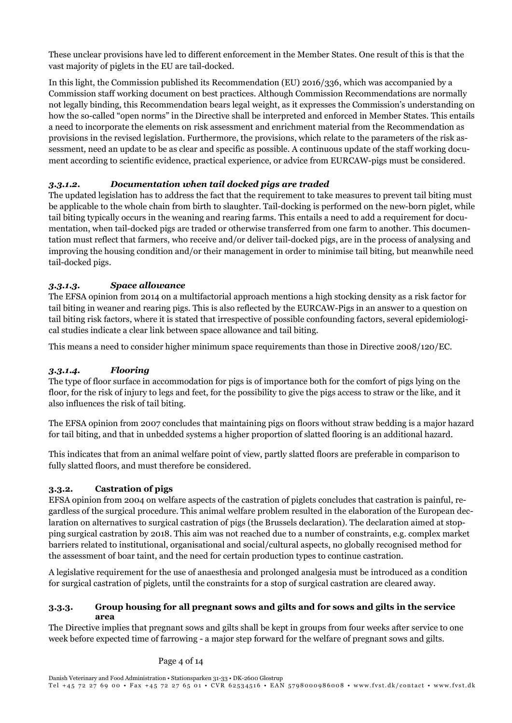These unclear provisions have led to different enforcement in the Member States. One result of this is that the vast majority of piglets in the EU are tail-docked.

In this light, the Commission published its Recommendation (EU) 2016/336, which was accompanied by a Commission staff working document on best practices. Although Commission Recommendations are normally not legally binding, this Recommendation bears legal weight, as it expresses the Commission's understanding on how the so-called "open norms" in the Directive shall be interpreted and enforced in Member States. This entails a need to incorporate the elements on risk assessment and enrichment material from the Recommendation as provisions in the revised legislation. Furthermore, the provisions, which relate to the parameters of the risk assessment, need an update to be as clear and specific as possible. A continuous update of the staff working document according to scientific evidence, practical experience, or advice from EURCAW-pigs must be considered.

### 3.3.1.2. Documentation when tail docked pigs are traded

The updated legislation has to address the fact that the requirement to take measures to prevent tail biting must be applicable to the whole chain from birth to slaughter. Tail-docking is performed on the new-born piglet, while tail biting typically occurs in the weaning and rearing farms. This entails a need to add a requirement for documentation, when tail-docked pigs are traded or otherwise transferred from one farm to another. This documentation must reflect that farmers, who receive and/or deliver tail-docked pigs, are in the process of analysing and improving the housing condition and/or their management in order to minimise tail biting, but meanwhile need tail-docked pigs.

### 3.3.1.3. Space allowance

The EFSA opinion from 2014 on a multifactorial approach mentions a high stocking density as a risk factor for tail biting in weaner and rearing pigs. This is also reflected by the EURCAW-Pigs in an answer to a question on tail biting risk factors, where it is stated that irrespective of possible confounding factors, several epidemiological studies indicate a clear link between space allowance and tail biting.

This means a need to consider higher minimum space requirements than those in Directive 2008/120/EC.

### 3.3.1.4. Flooring

The type of floor surface in accommodation for pigs is of importance both for the comfort of pigs lying on the floor, for the risk of injury to legs and feet, for the possibility to give the pigs access to straw or the like, and it also influences the risk of tail biting.

The EFSA opinion from 2007 concludes that maintaining pigs on floors without straw bedding is a major hazard for tail biting, and that in unbedded systems a higher proportion of slatted flooring is an additional hazard.

This indicates that from an animal welfare point of view, partly slatted floors are preferable in comparison to fully slatted floors, and must therefore be considered.

### 3.3.2. Castration of pigs

EFSA opinion from 2004 on welfare aspects of the castration of piglets concludes that castration is painful, regardless of the surgical procedure. This animal welfare problem resulted in the elaboration of the European declaration on alternatives to surgical castration of pigs (the Brussels declaration). The declaration aimed at stopping surgical castration by 2018. This aim was not reached due to a number of constraints, e.g. complex market barriers related to institutional, organisational and social/cultural aspects, no globally recognised method for the assessment of boar taint, and the need for certain production types to continue castration.

A legislative requirement for the use of anaesthesia and prolonged analgesia must be introduced as a condition for surgical castration of piglets, until the constraints for a stop of surgical castration are cleared away.

### 3.3.3. Group housing for all pregnant sows and gilts and for sows and gilts in the service area

The Directive implies that pregnant sows and gilts shall be kept in groups from four weeks after service to one week before expected time of farrowing - a major step forward for the welfare of pregnant sows and gilts.

### Page 4 of 14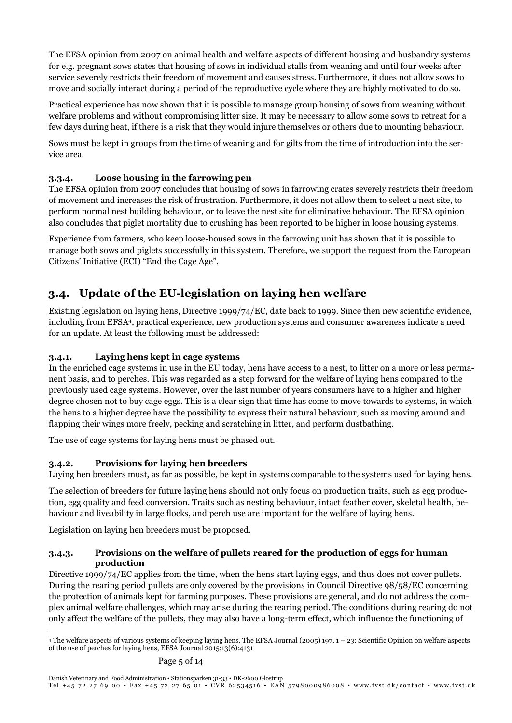The EFSA opinion from 2007 on animal health and welfare aspects of different housing and husbandry systems for e.g. pregnant sows states that housing of sows in individual stalls from weaning and until four weeks after service severely restricts their freedom of movement and causes stress. Furthermore, it does not allow sows to move and socially interact during a period of the reproductive cycle where they are highly motivated to do so.

Practical experience has now shown that it is possible to manage group housing of sows from weaning without welfare problems and without compromising litter size. It may be necessary to allow some sows to retreat for a few days during heat, if there is a risk that they would injure themselves or others due to mounting behaviour.

Sows must be kept in groups from the time of weaning and for gilts from the time of introduction into the service area.

### 3.3.4. Loose housing in the farrowing pen

The EFSA opinion from 2007 concludes that housing of sows in farrowing crates severely restricts their freedom of movement and increases the risk of frustration. Furthermore, it does not allow them to select a nest site, to perform normal nest building behaviour, or to leave the nest site for eliminative behaviour. The EFSA opinion also concludes that piglet mortality due to crushing has been reported to be higher in loose housing systems.

Experience from farmers, who keep loose-housed sows in the farrowing unit has shown that it is possible to manage both sows and piglets successfully in this system. Therefore, we support the request from the European Citizens' Initiative (ECI) "End the Cage Age".

# 3.4. Update of the EU-legislation on laying hen welfare

Existing legislation on laying hens, Directive 1999/74/EC, date back to 1999. Since then new scientific evidence, including from EFSA4, practical experience, new production systems and consumer awareness indicate a need for an update. At least the following must be addressed:

### 3.4.1. Laying hens kept in cage systems

In the enriched cage systems in use in the EU today, hens have access to a nest, to litter on a more or less permanent basis, and to perches. This was regarded as a step forward for the welfare of laying hens compared to the previously used cage systems. However, over the last number of years consumers have to a higher and higher degree chosen not to buy cage eggs. This is a clear sign that time has come to move towards to systems, in which the hens to a higher degree have the possibility to express their natural behaviour, such as moving around and flapping their wings more freely, pecking and scratching in litter, and perform dustbathing.

The use of cage systems for laying hens must be phased out.

### 3.4.2. Provisions for laying hen breeders

Laying hen breeders must, as far as possible, be kept in systems comparable to the systems used for laying hens.

The selection of breeders for future laying hens should not only focus on production traits, such as egg production, egg quality and feed conversion. Traits such as nesting behaviour, intact feather cover, skeletal health, behaviour and liveability in large flocks, and perch use are important for the welfare of laying hens.

Legislation on laying hen breeders must be proposed.

### 3.4.3. Provisions on the welfare of pullets reared for the production of eggs for human production

Directive 1999/74/EC applies from the time, when the hens start laying eggs, and thus does not cover pullets. During the rearing period pullets are only covered by the provisions in Council Directive 98/58/EC concerning the protection of animals kept for farming purposes. These provisions are general, and do not address the complex animal welfare challenges, which may arise during the rearing period. The conditions during rearing do not only affect the welfare of the pullets, they may also have a long-term effect, which influence the functioning of

<sup>-</sup><sup>4</sup> The welfare aspects of various systems of keeping laying hens, The EFSA Journal (2005) 197, 1 – 23; Scientific Opinion on welfare aspects of the use of perches for laying hens, EFSA Journal 2015;13(6):4131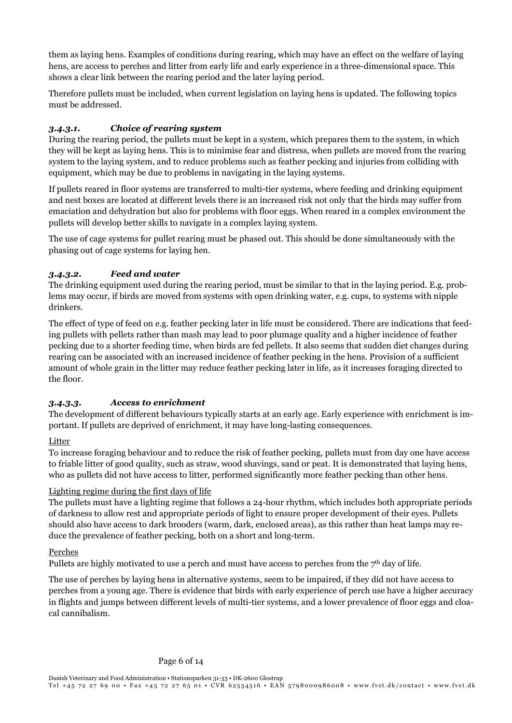them as laying hens. Examples of conditions during rearing, which may have an effect on the welfare of laying hens, are access to perches and litter from early life and early experience in a three-dimensional space. This shows a clear link between the rearing period and the later laying period.

Therefore pullets must be included, when current legislation on laying hens is updated. The following topics must be addressed.

## 3.4.3.1. Choice of rearing system

During the rearing period, the pullets must be kept in a system, which prepares them to the system, in which they will be kept as laying hens. This is to minimise fear and distress, when pullets are moved from the rearing system to the laying system, and to reduce problems such as feather pecking and injuries from colliding with equipment, which may be due to problems in navigating in the laying systems.

If pullets reared in floor systems are transferred to multi-tier systems, where feeding and drinking equipment and nest boxes are located at different levels there is an increased risk not only that the birds may suffer from emaciation and dehydration but also for problems with floor eggs. When reared in a complex environment the pullets will develop better skills to navigate in a complex laying system.

The use of cage systems for pullet rearing must be phased out. This should be done simultaneously with the phasing out of cage systems for laying hen.

### 3.4.3.2. Feed and water

The drinking equipment used during the rearing period, must be similar to that in the laying period. E.g. problems may occur, if birds are moved from systems with open drinking water, e.g. cups, to systems with nipple drinkers.

The effect of type of feed on e.g. feather pecking later in life must be considered. There are indications that feeding pullets with pellets rather than mash may lead to poor plumage quality and a higher incidence of feather pecking due to a shorter feeding time, when birds are fed pellets. It also seems that sudden diet changes during rearing can be associated with an increased incidence of feather pecking in the hens. Provision of a sufficient amount of whole grain in the litter may reduce feather pecking later in life, as it increases foraging directed to the floor.

### 3.4.3.3. Access to enrichment

The development of different behaviours typically starts at an early age. Early experience with enrichment is important. If pullets are deprived of enrichment, it may have long-lasting consequences.

### Litter

To increase foraging behaviour and to reduce the risk of feather pecking, pullets must from day one have access to friable litter of good quality, such as straw, wood shavings, sand or peat. It is demonstrated that laying hens, who as pullets did not have access to litter, performed significantly more feather pecking than other hens.

### Lighting regime during the first days of life

The pullets must have a lighting regime that follows a 24-hour rhythm, which includes both appropriate periods of darkness to allow rest and appropriate periods of light to ensure proper development of their eyes. Pullets should also have access to dark brooders (warm, dark, enclosed areas), as this rather than heat lamps may reduce the prevalence of feather pecking, both on a short and long-term.

### Perches

Pullets are highly motivated to use a perch and must have access to perches from the 7<sup>th</sup> day of life.

The use of perches by laying hens in alternative systems, seem to be impaired, if they did not have access to perches from a young age. There is evidence that birds with early experience of perch use have a higher accuracy in flights and jumps between different levels of multi-tier systems, and a lower prevalence of floor eggs and cloacal cannibalism.

#### Page 6 of 14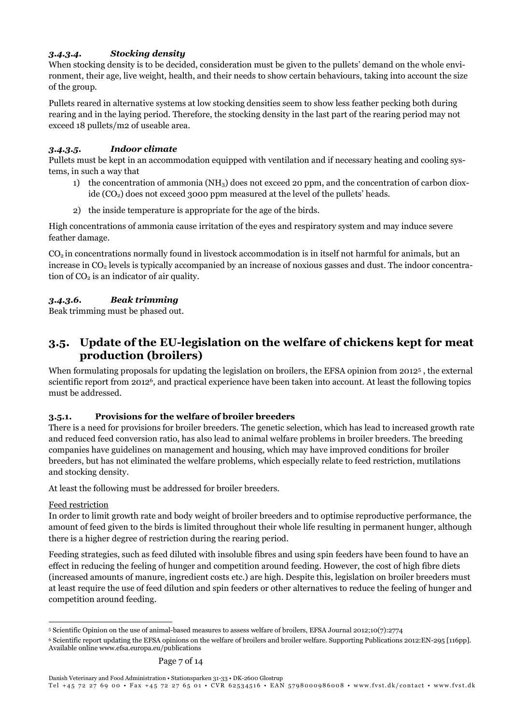### 3.4.3.4. Stocking density

When stocking density is to be decided, consideration must be given to the pullets' demand on the whole environment, their age, live weight, health, and their needs to show certain behaviours, taking into account the size of the group.

Pullets reared in alternative systems at low stocking densities seem to show less feather pecking both during rearing and in the laying period. Therefore, the stocking density in the last part of the rearing period may not exceed 18 pullets/m2 of useable area.

### 3.4.3.5. Indoor climate

Pullets must be kept in an accommodation equipped with ventilation and if necessary heating and cooling systems, in such a way that

- 1) the concentration of ammonia (NH<sub>3</sub>) does not exceed 20 ppm, and the concentration of carbon dioxide  $(CO<sub>2</sub>)$  does not exceed 3000 ppm measured at the level of the pullets' heads.
- 2) the inside temperature is appropriate for the age of the birds.

High concentrations of ammonia cause irritation of the eyes and respiratory system and may induce severe feather damage.

 $CO<sub>2</sub>$  in concentrations normally found in livestock accommodation is in itself not harmful for animals, but an increase in  $CO<sub>2</sub>$  levels is typically accompanied by an increase of noxious gasses and dust. The indoor concentration of  $CO<sub>2</sub>$  is an indicator of air quality.

### 3.4.3.6. Beak trimming

Beak trimming must be phased out.

## 3.5. Update of the EU-legislation on the welfare of chickens kept for meat production (broilers)

When formulating proposals for updating the legislation on broilers, the EFSA opinion from 2012<sup>5</sup>, the external scientific report from 20126, and practical experience have been taken into account. At least the following topics must be addressed.

### 3.5.1. Provisions for the welfare of broiler breeders

There is a need for provisions for broiler breeders. The genetic selection, which has lead to increased growth rate and reduced feed conversion ratio, has also lead to animal welfare problems in broiler breeders. The breeding companies have guidelines on management and housing, which may have improved conditions for broiler breeders, but has not eliminated the welfare problems, which especially relate to feed restriction, mutilations and stocking density.

At least the following must be addressed for broiler breeders.

### Feed restriction

In order to limit growth rate and body weight of broiler breeders and to optimise reproductive performance, the amount of feed given to the birds is limited throughout their whole life resulting in permanent hunger, although there is a higher degree of restriction during the rearing period.

Feeding strategies, such as feed diluted with insoluble fibres and using spin feeders have been found to have an effect in reducing the feeling of hunger and competition around feeding. However, the cost of high fibre diets (increased amounts of manure, ingredient costs etc.) are high. Despite this, legislation on broiler breeders must at least require the use of feed dilution and spin feeders or other alternatives to reduce the feeling of hunger and competition around feeding.

<sup>-</sup>5 Scientific Opinion on the use of animal-based measures to assess welfare of broilers, EFSA Journal 2012;10(7):2774

<sup>6</sup> Scientific report updating the EFSA opinions on the welfare of broilers and broiler welfare. Supporting Publications 2012:EN-295 [116pp]. Available online www.efsa.europa.eu/publications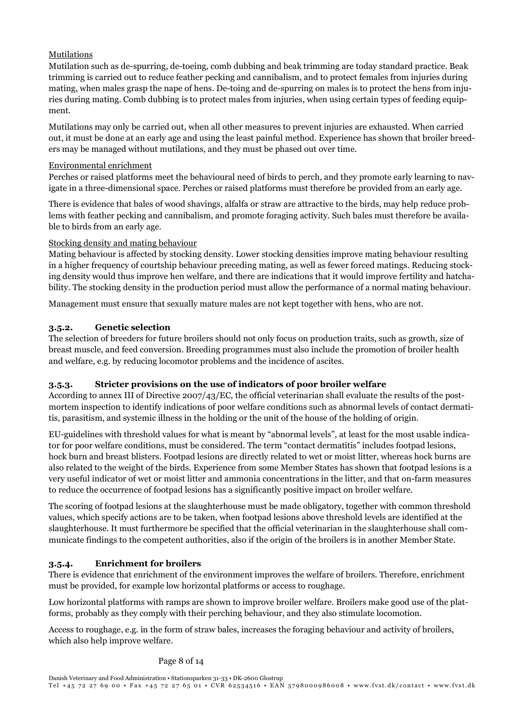### Mutilations

Mutilation such as de-spurring, de-toeing, comb dubbing and beak trimming are today standard practice. Beak trimming is carried out to reduce feather pecking and cannibalism, and to protect females from injuries during mating, when males grasp the nape of hens. De-toing and de-spurring on males is to protect the hens from injuries during mating. Comb dubbing is to protect males from injuries, when using certain types of feeding equipment.

Mutilations may only be carried out, when all other measures to prevent injuries are exhausted. When carried out, it must be done at an early age and using the least painful method. Experience has shown that broiler breeders may be managed without mutilations, and they must be phased out over time.

### Environmental enrichment

Perches or raised platforms meet the behavioural need of birds to perch, and they promote early learning to navigate in a three-dimensional space. Perches or raised platforms must therefore be provided from an early age.

There is evidence that bales of wood shavings, alfalfa or straw are attractive to the birds, may help reduce problems with feather pecking and cannibalism, and promote foraging activity. Such bales must therefore be available to birds from an early age.

### Stocking density and mating behaviour

Mating behaviour is affected by stocking density. Lower stocking densities improve mating behaviour resulting in a higher frequency of courtship behaviour preceding mating, as well as fewer forced matings. Reducing stocking density would thus improve hen welfare, and there are indications that it would improve fertility and hatchability. The stocking density in the production period must allow the performance of a normal mating behaviour.

Management must ensure that sexually mature males are not kept together with hens, who are not.

### 3.5.2. Genetic selection

The selection of breeders for future broilers should not only focus on production traits, such as growth, size of breast muscle, and feed conversion. Breeding programmes must also include the promotion of broiler health and welfare, e.g. by reducing locomotor problems and the incidence of ascites.

### 3.5.3. Stricter provisions on the use of indicators of poor broiler welfare

According to annex III of Directive 2007/43/EC, the official veterinarian shall evaluate the results of the postmortem inspection to identify indications of poor welfare conditions such as abnormal levels of contact dermatitis, parasitism, and systemic illness in the holding or the unit of the house of the holding of origin.

EU-guidelines with threshold values for what is meant by "abnormal levels", at least for the most usable indicator for poor welfare conditions, must be considered. The term "contact dermatitis" includes footpad lesions, hock burn and breast blisters. Footpad lesions are directly related to wet or moist litter, whereas hock burns are also related to the weight of the birds. Experience from some Member States has shown that footpad lesions is a very useful indicator of wet or moist litter and ammonia concentrations in the litter, and that on-farm measures to reduce the occurrence of footpad lesions has a significantly positive impact on broiler welfare.

The scoring of footpad lesions at the slaughterhouse must be made obligatory, together with common threshold values, which specify actions are to be taken, when footpad lesions above threshold levels are identified at the slaughterhouse. It must furthermore be specified that the official veterinarian in the slaughterhouse shall communicate findings to the competent authorities, also if the origin of the broilers is in another Member State.

### 3.5.4. Enrichment for broilers

There is evidence that enrichment of the environment improves the welfare of broilers. Therefore, enrichment must be provided, for example low horizontal platforms or access to roughage.

Low horizontal platforms with ramps are shown to improve broiler welfare. Broilers make good use of the platforms, probably as they comply with their perching behaviour, and they also stimulate locomotion.

Access to roughage, e.g. in the form of straw bales, increases the foraging behaviour and activity of broilers, which also help improve welfare.

### Page 8 of 14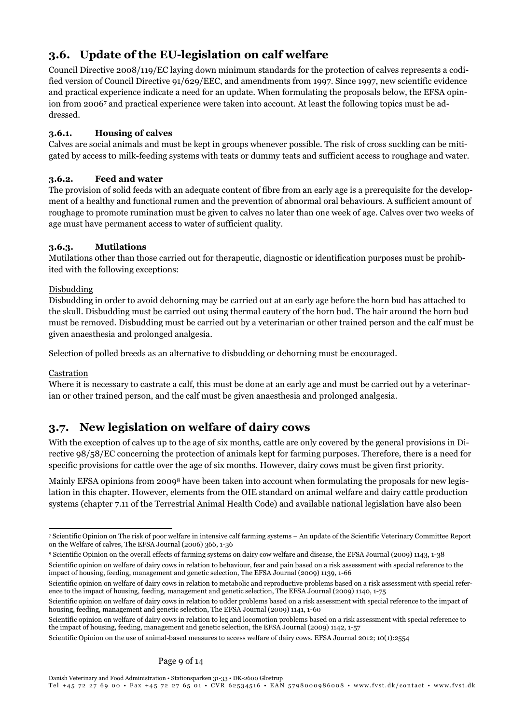# 3.6. Update of the EU-legislation on calf welfare

Council Directive 2008/119/EC laying down minimum standards for the protection of calves represents a codified version of Council Directive 91/629/EEC, and amendments from 1997. Since 1997, new scientific evidence and practical experience indicate a need for an update. When formulating the proposals below, the EFSA opinion from 2006<sup>7</sup> and practical experience were taken into account. At least the following topics must be addressed.

## 3.6.1. Housing of calves

Calves are social animals and must be kept in groups whenever possible. The risk of cross suckling can be mitigated by access t0 milk-feeding systems with teats or dummy teats and sufficient access to roughage and water.

## 3.6.2. Feed and water

The provision of solid feeds with an adequate content of fibre from an early age is a prerequisite for the development of a healthy and functional rumen and the prevention of abnormal oral behaviours. A sufficient amount of roughage to promote rumination must be given to calves no later than one week of age. Calves over two weeks of age must have permanent access to water of sufficient quality.

## 3.6.3. Mutilations

Mutilations other than those carried out for therapeutic, diagnostic or identification purposes must be prohibited with the following exceptions:

## Disbudding

Disbudding in order to avoid dehorning may be carried out at an early age before the horn bud has attached to the skull. Disbudding must be carried out using thermal cautery of the horn bud. The hair around the horn bud must be removed. Disbudding must be carried out by a veterinarian or other trained person and the calf must be given anaesthesia and prolonged analgesia.

Selection of polled breeds as an alternative to disbudding or dehorning must be encouraged.

## Castration

Where it is necessary to castrate a calf, this must be done at an early age and must be carried out by a veterinarian or other trained person, and the calf must be given anaesthesia and prolonged analgesia.

# 3.7. New legislation on welfare of dairy cows

With the exception of calves up to the age of six months, cattle are only covered by the general provisions in Directive 98/58/EC concerning the protection of animals kept for farming purposes. Therefore, there is a need for specific provisions for cattle over the age of six months. However, dairy cows must be given first priority.

Mainly EFSA opinions from 20098 have been taken into account when formulating the proposals for new legislation in this chapter. However, elements from the OIE standard on animal welfare and dairy cattle production systems (chapter 7.11 of the Terrestrial Animal Health Code) and available national legislation have also been

<sup>8</sup> Scientific Opinion on the overall effects of farming systems on dairy cow welfare and disease, the EFSA Journal (2009) 1143, 1-38 Scientific opinion on welfare of dairy cows in relation to behaviour, fear and pain based on a risk assessment with special reference to the impact of housing, feeding, management and genetic selection, The EFSA Journal (2009) 1139, 1-66

Scientific opinion on welfare of dairy cows in relation to metabolic and reproductive problems based on a risk assessment with special reference to the impact of housing, feeding, management and genetic selection, The EFSA Journal (2009) 1140, 1-75

<sup>-</sup>7 Scientific Opinion on The risk of poor welfare in intensive calf farming systems – An update of the Scientific Veterinary Committee Report on the Welfare of calves, The EFSA Journal (2006) 366, 1-36

Scientific opinion on welfare of dairy cows in relation to udder problems based on a risk assessment with special reference to the impact of housing, feeding, management and genetic selection, The EFSA Journal (2009) 1141, 1-60

Scientific opinion on welfare of dairy cows in relation to leg and locomotion problems based on a risk assessment with special reference to the impact of housing, feeding, management and genetic selection, the EFSA Journal (2009) 1142, 1-57

Scientific Opinion on the use of animal-based measures to access welfare of dairy cows. EFSA Journal 2012; 10(1):2554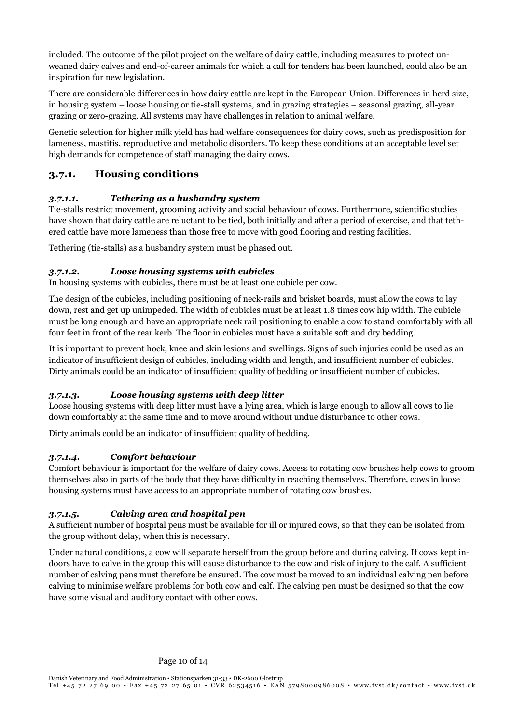included. The outcome of the pilot project on the welfare of dairy cattle, including measures to protect unweaned dairy calves and end-of-career animals for which a call for tenders has been launched, could also be an inspiration for new legislation.

There are considerable differences in how dairy cattle are kept in the European Union. Differences in herd size, in housing system – loose housing or tie-stall systems, and in grazing strategies – seasonal grazing, all-year grazing or zero-grazing. All systems may have challenges in relation to animal welfare.

Genetic selection for higher milk yield has had welfare consequences for dairy cows, such as predisposition for lameness, mastitis, reproductive and metabolic disorders. To keep these conditions at an acceptable level set high demands for competence of staff managing the dairy cows.

## 3.7.1. Housing conditions

### 3.7.1.1. Tethering as a husbandry system

Tie-stalls restrict movement, grooming activity and social behaviour of cows. Furthermore, scientific studies have shown that dairy cattle are reluctant to be tied, both initially and after a period of exercise, and that tethered cattle have more lameness than those free to move with good flooring and resting facilities.

Tethering (tie-stalls) as a husbandry system must be phased out.

### 3.7.1.2. Loose housing systems with cubicles

In housing systems with cubicles, there must be at least one cubicle per cow.

The design of the cubicles, including positioning of neck-rails and brisket boards, must allow the cows to lay down, rest and get up unimpeded. The width of cubicles must be at least 1.8 times cow hip width. The cubicle must be long enough and have an appropriate neck rail positioning to enable a cow to stand comfortably with all four feet in front of the rear kerb. The floor in cubicles must have a suitable soft and dry bedding.

It is important to prevent hock, knee and skin lesions and swellings. Signs of such injuries could be used as an indicator of insufficient design of cubicles, including width and length, and insufficient number of cubicles. Dirty animals could be an indicator of insufficient quality of bedding or insufficient number of cubicles.

### 3.7.1.3. Loose housing systems with deep litter

Loose housing systems with deep litter must have a lying area, which is large enough to allow all cows to lie down comfortably at the same time and to move around without undue disturbance to other cows.

Dirty animals could be an indicator of insufficient quality of bedding.

### 3.7.1.4. Comfort behaviour

Comfort behaviour is important for the welfare of dairy cows. Access to rotating cow brushes help cows to groom themselves also in parts of the body that they have difficulty in reaching themselves. Therefore, cows in loose housing systems must have access to an appropriate number of rotating cow brushes.

### 3.7.1.5. Calving area and hospital pen

A sufficient number of hospital pens must be available for ill or injured cows, so that they can be isolated from the group without delay, when this is necessary.

Under natural conditions, a cow will separate herself from the group before and during calving. If cows kept indoors have to calve in the group this will cause disturbance to the cow and risk of injury to the calf. A sufficient number of calving pens must therefore be ensured. The cow must be moved to an individual calving pen before calving to minimise welfare problems for both cow and calf. The calving pen must be designed so that the cow have some visual and auditory contact with other cows.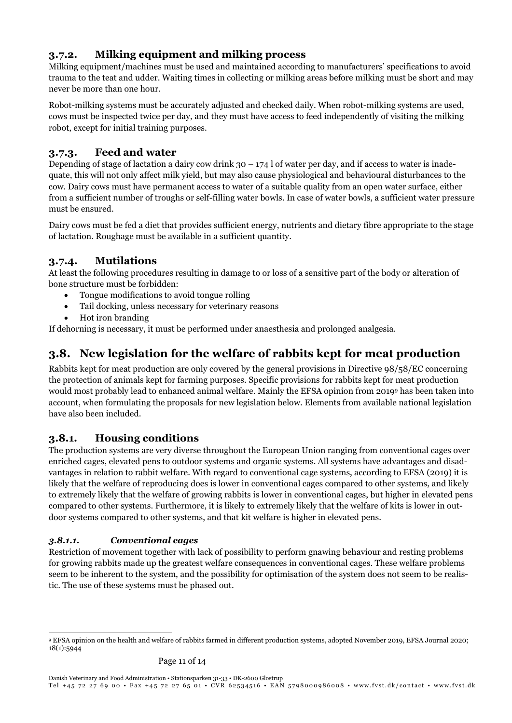## 3.7.2. Milking equipment and milking process

Milking equipment/machines must be used and maintained according to manufacturers' specifications to avoid trauma to the teat and udder. Waiting times in collecting or milking areas before milking must be short and may never be more than one hour.

Robot-milking systems must be accurately adjusted and checked daily. When robot-milking systems are used, cows must be inspected twice per day, and they must have access to feed independently of visiting the milking robot, except for initial training purposes.

## 3.7.3. Feed and water

Depending of stage of lactation a dairy cow drink  $30 - 174$  l of water per day, and if access to water is inadequate, this will not only affect milk yield, but may also cause physiological and behavioural disturbances to the cow. Dairy cows must have permanent access to water of a suitable quality from an open water surface, either from a sufficient number of troughs or self-filling water bowls. In case of water bowls, a sufficient water pressure must be ensured.

Dairy cows must be fed a diet that provides sufficient energy, nutrients and dietary fibre appropriate to the stage of lactation. Roughage must be available in a sufficient quantity.

## 3.7.4. Mutilations

At least the following procedures resulting in damage to or loss of a sensitive part of the body or alteration of bone structure must be forbidden:

- Tongue modifications to avoid tongue rolling
- Tail docking, unless necessary for veterinary reasons
- Hot iron branding

If dehorning is necessary, it must be performed under anaesthesia and prolonged analgesia.

# 3.8. New legislation for the welfare of rabbits kept for meat production

Rabbits kept for meat production are only covered by the general provisions in Directive 98/58/EC concerning the protection of animals kept for farming purposes. Specific provisions for rabbits kept for meat production would most probably lead to enhanced animal welfare. Mainly the EFSA opinion from 20199 has been taken into account, when formulating the proposals for new legislation below. Elements from available national legislation have also been included.

## 3.8.1. Housing conditions

The production systems are very diverse throughout the European Union ranging from conventional cages over enriched cages, elevated pens to outdoor systems and organic systems. All systems have advantages and disadvantages in relation to rabbit welfare. With regard to conventional cage systems, according to EFSA (2019) it is likely that the welfare of reproducing does is lower in conventional cages compared to other systems, and likely to extremely likely that the welfare of growing rabbits is lower in conventional cages, but higher in elevated pens compared to other systems. Furthermore, it is likely to extremely likely that the welfare of kits is lower in outdoor systems compared to other systems, and that kit welfare is higher in elevated pens.

## 3.8.1.1. Conventional cages

Restriction of movement together with lack of possibility to perform gnawing behaviour and resting problems for growing rabbits made up the greatest welfare consequences in conventional cages. These welfare problems seem to be inherent to the system, and the possibility for optimisation of the system does not seem to be realistic. The use of these systems must be phased out.

<sup>-</sup><sup>9</sup> EFSA opinion on the health and welfare of rabbits farmed in different production systems, adopted November 2019, EFSA Journal 2020; 18(1):5944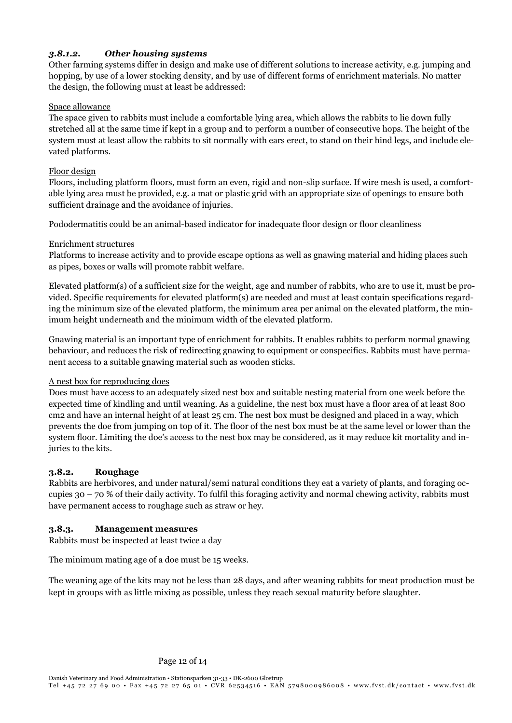## 3.8.1.2. Other housing systems

Other farming systems differ in design and make use of different solutions to increase activity, e.g. jumping and hopping, by use of a lower stocking density, and by use of different forms of enrichment materials. No matter the design, the following must at least be addressed:

### Space allowance

The space given to rabbits must include a comfortable lying area, which allows the rabbits to lie down fully stretched all at the same time if kept in a group and to perform a number of consecutive hops. The height of the system must at least allow the rabbits to sit normally with ears erect, to stand on their hind legs, and include elevated platforms.

#### Floor design

Floors, including platform floors, must form an even, rigid and non-slip surface. If wire mesh is used, a comfortable lying area must be provided, e.g. a mat or plastic grid with an appropriate size of openings to ensure both sufficient drainage and the avoidance of injuries.

Pododermatitis could be an animal-based indicator for inadequate floor design or floor cleanliness

#### Enrichment structures

Platforms to increase activity and to provide escape options as well as gnawing material and hiding places such as pipes, boxes or walls will promote rabbit welfare.

Elevated platform(s) of a sufficient size for the weight, age and number of rabbits, who are to use it, must be provided. Specific requirements for elevated platform(s) are needed and must at least contain specifications regarding the minimum size of the elevated platform, the minimum area per animal on the elevated platform, the minimum height underneath and the minimum width of the elevated platform.

Gnawing material is an important type of enrichment for rabbits. It enables rabbits to perform normal gnawing behaviour, and reduces the risk of redirecting gnawing to equipment or conspecifics. Rabbits must have permanent access to a suitable gnawing material such as wooden sticks.

### A nest box for reproducing does

Does must have access to an adequately sized nest box and suitable nesting material from one week before the expected time of kindling and until weaning. As a guideline, the nest box must have a floor area of at least 800 cm2 and have an internal height of at least 25 cm. The nest box must be designed and placed in a way, which prevents the doe from jumping on top of it. The floor of the nest box must be at the same level or lower than the system floor. Limiting the doe's access to the nest box may be considered, as it may reduce kit mortality and injuries to the kits.

### 3.8.2. Roughage

Rabbits are herbivores, and under natural/semi natural conditions they eat a variety of plants, and foraging occupies  $30 - 70$  % of their daily activity. To fulfil this foraging activity and normal chewing activity, rabbits must have permanent access to roughage such as straw or hey.

### 3.8.3. Management measures

Rabbits must be inspected at least twice a day

The minimum mating age of a doe must be 15 weeks.

The weaning age of the kits may not be less than 28 days, and after weaning rabbits for meat production must be kept in groups with as little mixing as possible, unless they reach sexual maturity before slaughter.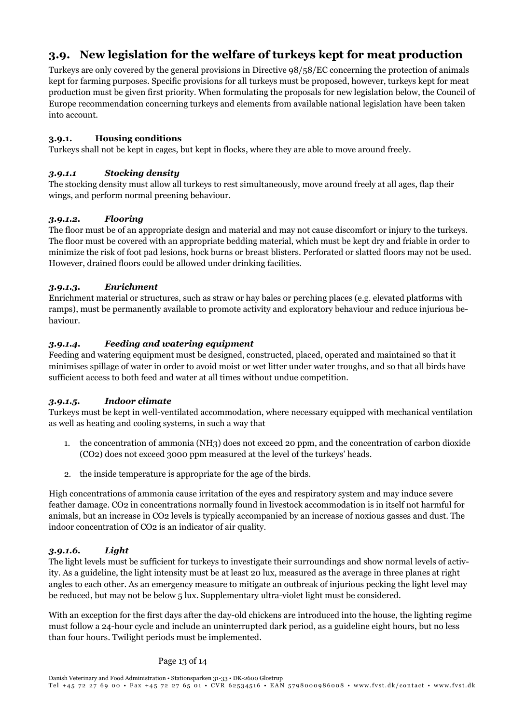# 3.9. New legislation for the welfare of turkeys kept for meat production

Turkeys are only covered by the general provisions in Directive 98/58/EC concerning the protection of animals kept for farming purposes. Specific provisions for all turkeys must be proposed, however, turkeys kept for meat production must be given first priority. When formulating the proposals for new legislation below, the Council of Europe recommendation concerning turkeys and elements from available national legislation have been taken into account.

### 3.9.1. Housing conditions

Turkeys shall not be kept in cages, but kept in flocks, where they are able to move around freely.

### 3.9.1.1 Stocking density

The stocking density must allow all turkeys to rest simultaneously, move around freely at all ages, flap their wings, and perform normal preening behaviour.

### 3.9.1.2. Flooring

The floor must be of an appropriate design and material and may not cause discomfort or injury to the turkeys. The floor must be covered with an appropriate bedding material, which must be kept dry and friable in order to minimize the risk of foot pad lesions, hock burns or breast blisters. Perforated or slatted floors may not be used. However, drained floors could be allowed under drinking facilities.

### 3.9.1.3. Enrichment

Enrichment material or structures, such as straw or hay bales or perching places (e.g. elevated platforms with ramps), must be permanently available to promote activity and exploratory behaviour and reduce injurious behaviour.

### 3.9.1.4. Feeding and watering equipment

Feeding and watering equipment must be designed, constructed, placed, operated and maintained so that it minimises spillage of water in order to avoid moist or wet litter under water troughs, and so that all birds have sufficient access to both feed and water at all times without undue competition.

## 3.9.1.5. Indoor climate

Turkeys must be kept in well-ventilated accommodation, where necessary equipped with mechanical ventilation as well as heating and cooling systems, in such a way that

- 1. the concentration of ammonia (NH3) does not exceed 20 ppm, and the concentration of carbon dioxide (CO2) does not exceed 3000 ppm measured at the level of the turkeys' heads.
- 2. the inside temperature is appropriate for the age of the birds.

High concentrations of ammonia cause irritation of the eyes and respiratory system and may induce severe feather damage. CO2 in concentrations normally found in livestock accommodation is in itself not harmful for animals, but an increase in CO2 levels is typically accompanied by an increase of noxious gasses and dust. The indoor concentration of CO2 is an indicator of air quality.

### 3.9.1.6. Light

The light levels must be sufficient for turkeys to investigate their surroundings and show normal levels of activity. As a guideline, the light intensity must be at least 20 lux, measured as the average in three planes at right angles to each other. As an emergency measure to mitigate an outbreak of injurious pecking the light level may be reduced, but may not be below 5 lux. Supplementary ultra-violet light must be considered.

With an exception for the first days after the day-old chickens are introduced into the house, the lighting regime must follow a 24-hour cycle and include an uninterrupted dark period, as a guideline eight hours, but no less than four hours. Twilight periods must be implemented.

### Page 13 of 14